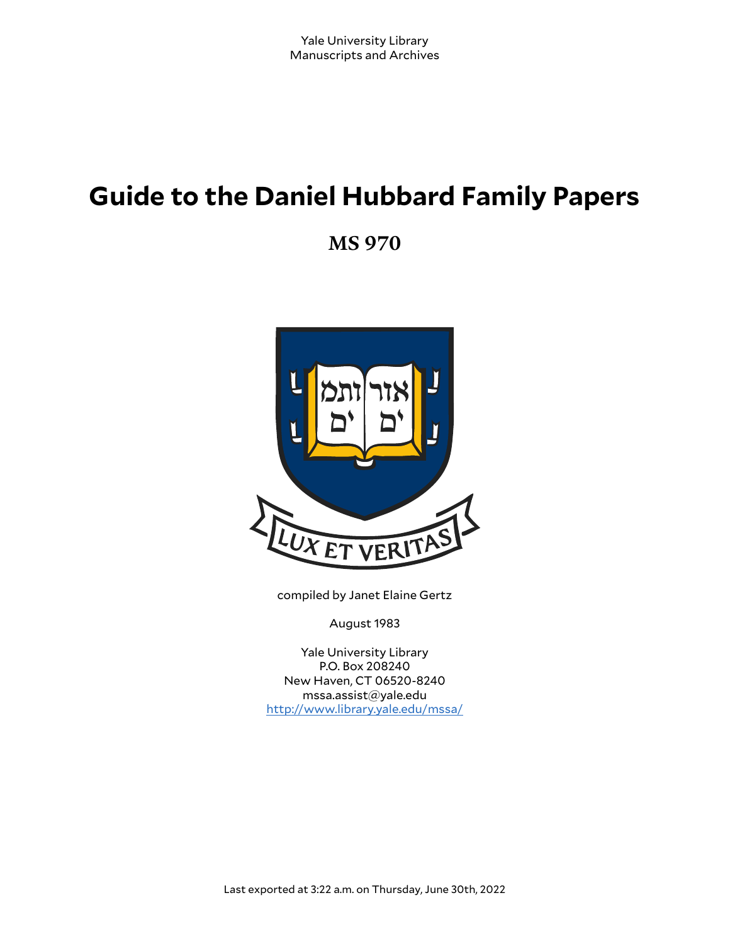# **Guide to the Daniel Hubbard Family Papers**

**MS 970**



compiled by Janet Elaine Gertz

August 1983

Yale University Library P.O. Box 208240 New Haven, CT 06520-8240 mssa.assist@yale.edu <http://www.library.yale.edu/mssa/>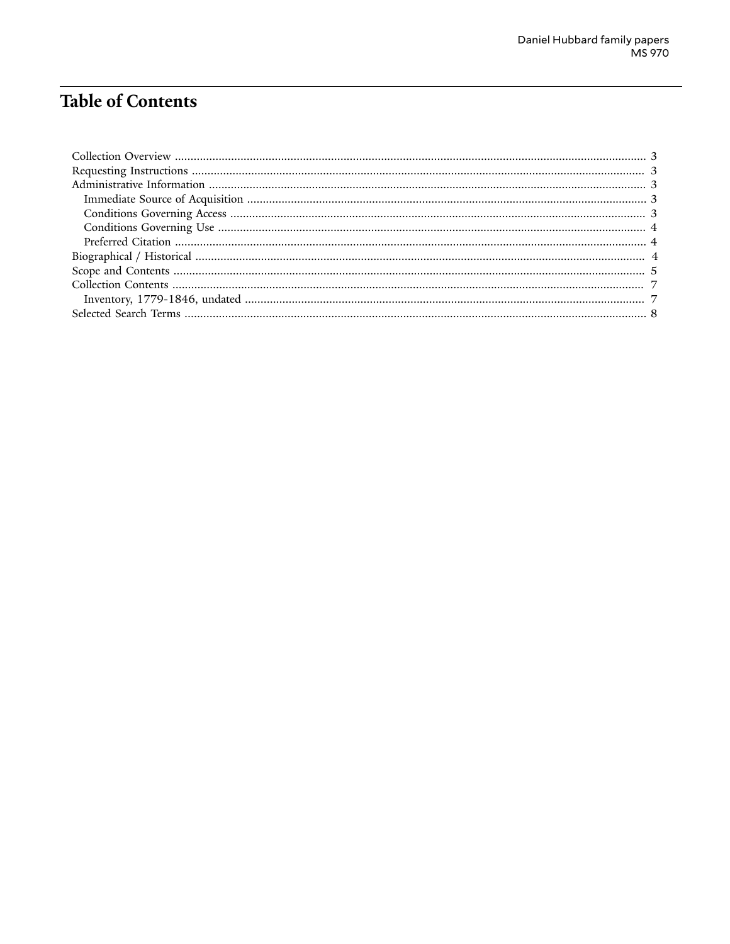## **Table of Contents**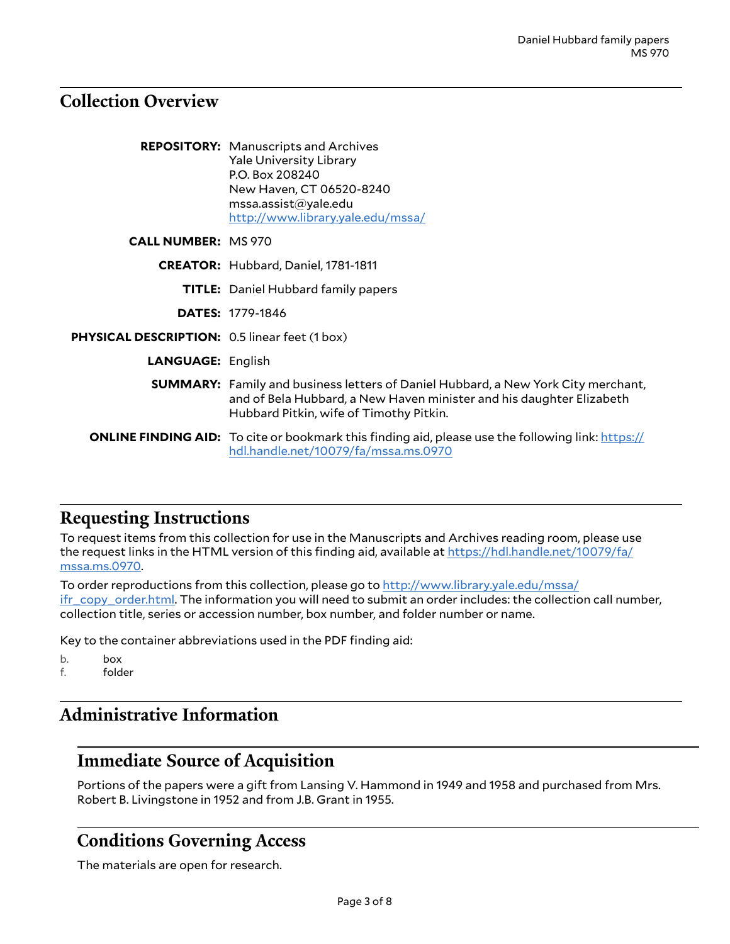## <span id="page-2-0"></span>**Collection Overview**

|                                                      | <b>REPOSITORY:</b> Manuscripts and Archives<br><b>Yale University Library</b><br>P.O. Box 208240<br>New Haven, CT 06520-8240<br>msa. assist@yale.edu<br>http://www.library.yale.edu/mssa/                   |
|------------------------------------------------------|-------------------------------------------------------------------------------------------------------------------------------------------------------------------------------------------------------------|
| <b>CALL NUMBER: MS 970</b>                           |                                                                                                                                                                                                             |
|                                                      | <b>CREATOR:</b> Hubbard, Daniel, 1781-1811                                                                                                                                                                  |
|                                                      | <b>TITLE:</b> Daniel Hubbard family papers                                                                                                                                                                  |
|                                                      | <b>DATES: 1779-1846</b>                                                                                                                                                                                     |
| <b>PHYSICAL DESCRIPTION:</b> 0.5 linear feet (1 box) |                                                                                                                                                                                                             |
| <b>LANGUAGE: English</b>                             |                                                                                                                                                                                                             |
|                                                      | <b>SUMMARY:</b> Family and business letters of Daniel Hubbard, a New York City merchant,<br>and of Bela Hubbard, a New Haven minister and his daughter Elizabeth<br>Hubbard Pitkin, wife of Timothy Pitkin. |
|                                                      | <b>ONLINE FINDING AID:</b> To cite or bookmark this finding aid, please use the following link: https://<br>hdl.handle.net/10079/fa/mssa.ms.0970                                                            |

## <span id="page-2-1"></span>**Requesting Instructions**

To request items from this collection for use in the Manuscripts and Archives reading room, please use the request links in the HTML version of this finding aid, available at [https://hdl.handle.net/10079/fa/](https://hdl.handle.net/10079/fa/mssa.ms.0970) [mssa.ms.0970](https://hdl.handle.net/10079/fa/mssa.ms.0970).

To order reproductions from this collection, please go to [http://www.library.yale.edu/mssa/](http://www.library.yale.edu/mssa/ifr_copy_order.html)  $i$ fr\_copy\_order.html. The information you will need to submit an order includes: the collection call number, collection title, series or accession number, box number, and folder number or name.

Key to the container abbreviations used in the PDF finding aid:

b. **box**<br>f. fold folder

## <span id="page-2-2"></span>**Administrative Information**

## <span id="page-2-3"></span>**Immediate Source of Acquisition**

Portions of the papers were a gift from Lansing V. Hammond in 1949 and 1958 and purchased from Mrs. Robert B. Livingstone in 1952 and from J.B. Grant in 1955.

## <span id="page-2-4"></span>**Conditions Governing Access**

The materials are open for research.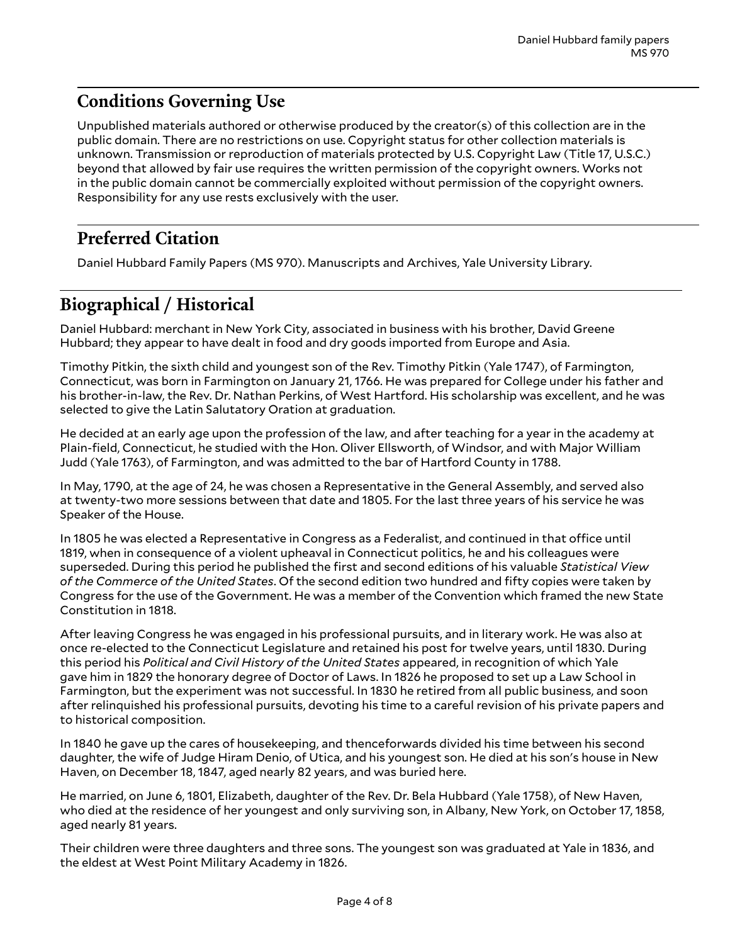## <span id="page-3-0"></span>**Conditions Governing Use**

Unpublished materials authored or otherwise produced by the creator(s) of this collection are in the public domain. There are no restrictions on use. Copyright status for other collection materials is unknown. Transmission or reproduction of materials protected by U.S. Copyright Law (Title 17, U.S.C.) beyond that allowed by fair use requires the written permission of the copyright owners. Works not in the public domain cannot be commercially exploited without permission of the copyright owners. Responsibility for any use rests exclusively with the user.

## <span id="page-3-1"></span>**Preferred Citation**

Daniel Hubbard Family Papers (MS 970). Manuscripts and Archives, Yale University Library.

## <span id="page-3-2"></span>**Biographical / Historical**

Daniel Hubbard: merchant in New York City, associated in business with his brother, David Greene Hubbard; they appear to have dealt in food and dry goods imported from Europe and Asia.

Timothy Pitkin, the sixth child and youngest son of the Rev. Timothy Pitkin (Yale 1747), of Farmington, Connecticut, was born in Farmington on January 21, 1766. He was prepared for College under his father and his brother-in-law, the Rev. Dr. Nathan Perkins, of West Hartford. His scholarship was excellent, and he was selected to give the Latin Salutatory Oration at graduation.

He decided at an early age upon the profession of the law, and after teaching for a year in the academy at Plain-field, Connecticut, he studied with the Hon. Oliver Ellsworth, of Windsor, and with Major William Judd (Yale 1763), of Farmington, and was admitted to the bar of Hartford County in 1788.

In May, 1790, at the age of 24, he was chosen a Representative in the General Assembly, and served also at twenty-two more sessions between that date and 1805. For the last three years of his service he was Speaker of the House.

In 1805 he was elected a Representative in Congress as a Federalist, and continued in that office until 1819, when in consequence of a violent upheaval in Connecticut politics, he and his colleagues were superseded. During this period he published the first and second editions of his valuable *Statistical View of the Commerce of the United States*. Of the second edition two hundred and fifty copies were taken by Congress for the use of the Government. He was a member of the Convention which framed the new State Constitution in 1818.

After leaving Congress he was engaged in his professional pursuits, and in literary work. He was also at once re-elected to the Connecticut Legislature and retained his post for twelve years, until 1830. During this period his *Political and Civil History of the United States* appeared, in recognition of which Yale gave him in 1829 the honorary degree of Doctor of Laws. In 1826 he proposed to set up a Law School in Farmington, but the experiment was not successful. In 1830 he retired from all public business, and soon after relinquished his professional pursuits, devoting his time to a careful revision of his private papers and to historical composition.

In 1840 he gave up the cares of housekeeping, and thenceforwards divided his time between his second daughter, the wife of Judge Hiram Denio, of Utica, and his youngest son. He died at his son's house in New Haven, on December 18, 1847, aged nearly 82 years, and was buried here.

He married, on June 6, 1801, Elizabeth, daughter of the Rev. Dr. Bela Hubbard (Yale 1758), of New Haven, who died at the residence of her youngest and only surviving son, in Albany, New York, on October 17, 1858, aged nearly 81 years.

Their children were three daughters and three sons. The youngest son was graduated at Yale in 1836, and the eldest at West Point Military Academy in 1826.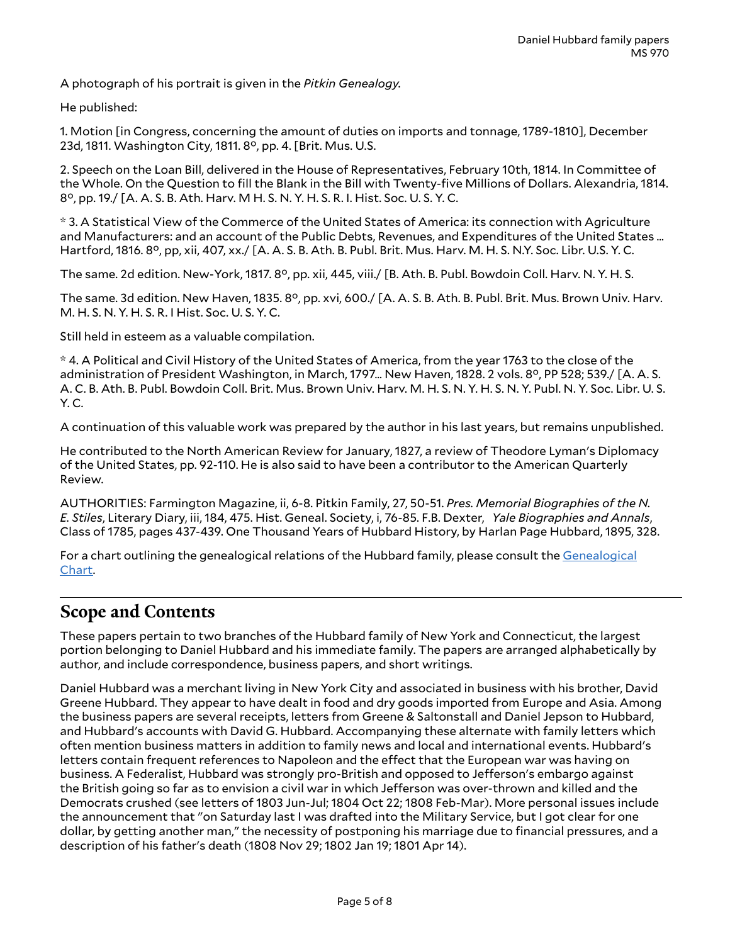A photograph of his portrait is given in the *Pitkin Genealogy.*

He published:

1. Motion [in Congress, concerning the amount of duties on imports and tonnage, 1789-1810], December 23d, 1811. Washington City, 1811. 8°, pp. 4. [Brit. Mus. U.S.

2. Speech on the Loan Bill, delivered in the House of Representatives, February 10th, 1814. In Committee of the Whole. On the Question to fill the Blank in the Bill with Twenty-five Millions of Dollars. Alexandria, 1814. 8°, pp. 19./ [A. A. S. B. Ath. Harv. M H. S. N. Y. H. S. R. I. Hist. Soc. U. S. Y. C.

\* 3. A Statistical View of the Commerce of the United States of America: its connection with Agriculture and Manufacturers: and an account of the Public Debts, Revenues, and Expenditures of the United States … Hartford, 1816. 8°, pp, xii, 407, xx./ [A. A. S. B. Ath. B. Publ. Brit. Mus. Harv. M. H. S. N.Y. Soc. Libr. U.S. Y. C.

The same. 2d edition. New-York, 1817. 8°, pp. xii, 445, viii./ [B. Ath. B. Publ. Bowdoin Coll. Harv. N. Y. H. S.

The same. 3d edition. New Haven, 1835. 8°, pp. xvi, 600./ [A. A. S. B. Ath. B. Publ. Brit. Mus. Brown Univ. Harv. M. H. S. N. Y. H. S. R. I Hist. Soc. U. S. Y. C.

Still held in esteem as a valuable compilation.

\* 4. A Political and Civil History of the United States of America, from the year 1763 to the close of the administration of President Washington, in March, 1797… New Haven, 1828. 2 vols. 8°, PP 528; 539./ [A. A. S. A. C. B. Ath. B. Publ. Bowdoin Coll. Brit. Mus. Brown Univ. Harv. M. H. S. N. Y. H. S. N. Y. Publ. N. Y. Soc. Libr. U. S. Y. C.

A continuation of this valuable work was prepared by the author in his last years, but remains unpublished.

He contributed to the North American Review for January, 1827, a review of Theodore Lyman's Diplomacy of the United States, pp. 92-110. He is also said to have been a contributor to the American Quarterly Review.

AUTHORITIES: Farmington Magazine, ii, 6-8. Pitkin Family, 27, 50-51. *Pres. Memorial Biographies of the N. E. Stiles*, Literary Diary, iii, 184, 475. Hist. Geneal. Society, i, 76-85. F.B. Dexter, *Yale Biographies and Annals*, Class of 1785, pages 437-439. One Thousand Years of Hubbard History, by Harlan Page Hubbard, 1895, 328.

For a chart outlining the genealogical relations of the Hubbard family, please consult the [Genealogical](http://mssa.altfindingaids.library.yale.edu/mssa.ms.0970/mssa_ms_0970_genealogical_chart.pdf) [Chart.](http://mssa.altfindingaids.library.yale.edu/mssa.ms.0970/mssa_ms_0970_genealogical_chart.pdf)

## <span id="page-4-0"></span>**Scope and Contents**

These papers pertain to two branches of the Hubbard family of New York and Connecticut, the largest portion belonging to Daniel Hubbard and his immediate family. The papers are arranged alphabetically by author, and include correspondence, business papers, and short writings.

Daniel Hubbard was a merchant living in New York City and associated in business with his brother, David Greene Hubbard. They appear to have dealt in food and dry goods imported from Europe and Asia. Among the business papers are several receipts, letters from Greene & Saltonstall and Daniel Jepson to Hubbard, and Hubbard's accounts with David G. Hubbard. Accompanying these alternate with family letters which often mention business matters in addition to family news and local and international events. Hubbard's letters contain frequent references to Napoleon and the effect that the European war was having on business. A Federalist, Hubbard was strongly pro-British and opposed to Jefferson's embargo against the British going so far as to envision a civil war in which Jefferson was over-thrown and killed and the Democrats crushed (see letters of 1803 Jun-Jul; 1804 Oct 22; 1808 Feb-Mar). More personal issues include the announcement that "on Saturday last I was drafted into the Military Service, but I got clear for one dollar, by getting another man," the necessity of postponing his marriage due to financial pressures, and a description of his father's death (1808 Nov 29; 1802 Jan 19; 1801 Apr 14).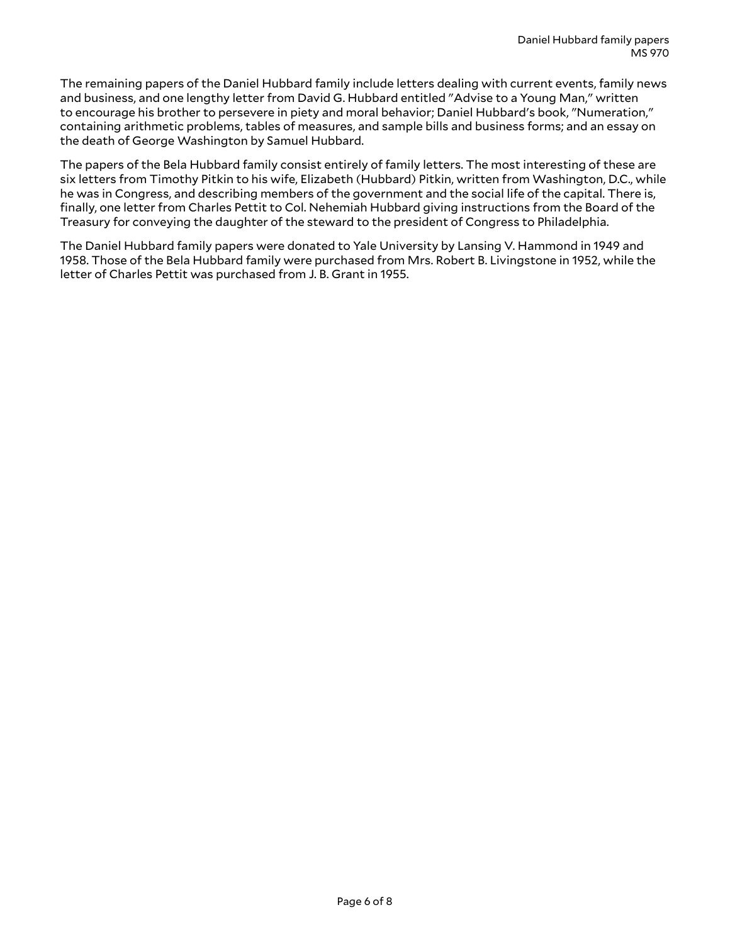The remaining papers of the Daniel Hubbard family include letters dealing with current events, family news and business, and one lengthy letter from David G. Hubbard entitled "Advise to a Young Man," written to encourage his brother to persevere in piety and moral behavior; Daniel Hubbard's book, "Numeration," containing arithmetic problems, tables of measures, and sample bills and business forms; and an essay on the death of George Washington by Samuel Hubbard.

The papers of the Bela Hubbard family consist entirely of family letters. The most interesting of these are six letters from Timothy Pitkin to his wife, Elizabeth (Hubbard) Pitkin, written from Washington, D.C., while he was in Congress, and describing members of the government and the social life of the capital. There is, finally, one letter from Charles Pettit to Col. Nehemiah Hubbard giving instructions from the Board of the Treasury for conveying the daughter of the steward to the president of Congress to Philadelphia.

The Daniel Hubbard family papers were donated to Yale University by Lansing V. Hammond in 1949 and 1958. Those of the Bela Hubbard family were purchased from Mrs. Robert B. Livingstone in 1952, while the letter of Charles Pettit was purchased from J. B. Grant in 1955.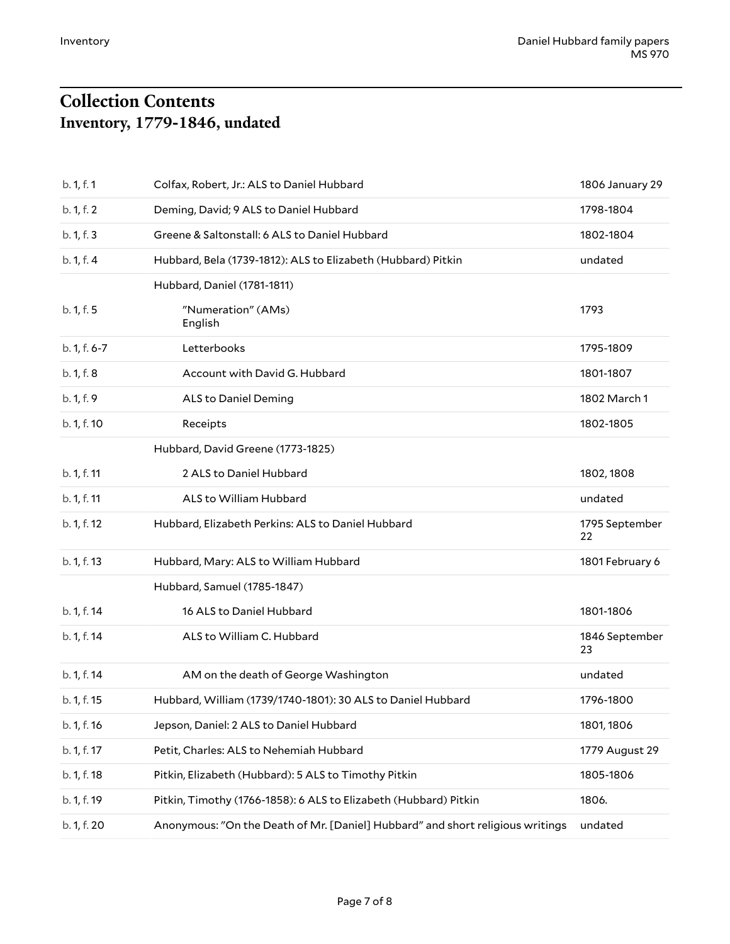## <span id="page-6-1"></span><span id="page-6-0"></span>**Collection Contents Inventory, 1779-1846, undated**

| b. 1, f. 1   | Colfax, Robert, Jr.: ALS to Daniel Hubbard                                     | 1806 January 29      |
|--------------|--------------------------------------------------------------------------------|----------------------|
| b. 1, f. 2   | Deming, David; 9 ALS to Daniel Hubbard                                         | 1798-1804            |
| b. 1, f. 3   | Greene & Saltonstall: 6 ALS to Daniel Hubbard                                  | 1802-1804            |
| b. 1, f. 4   | Hubbard, Bela (1739-1812): ALS to Elizabeth (Hubbard) Pitkin                   | undated              |
|              | Hubbard, Daniel (1781-1811)                                                    |                      |
| b. 1, f. 5   | "Numeration" (AMs)<br>English                                                  | 1793                 |
| b. 1, f. 6-7 | Letterbooks                                                                    | 1795-1809            |
| b. 1, f. 8   | Account with David G. Hubbard                                                  | 1801-1807            |
| b. 1, f. 9   | <b>ALS to Daniel Deming</b>                                                    | 1802 March 1         |
| b. 1, f. 10  | Receipts                                                                       | 1802-1805            |
|              | Hubbard, David Greene (1773-1825)                                              |                      |
| b. 1, f. 11  | 2 ALS to Daniel Hubbard                                                        | 1802, 1808           |
| b. 1, f. 11  | ALS to William Hubbard                                                         | undated              |
| b. 1, f. 12  | Hubbard, Elizabeth Perkins: ALS to Daniel Hubbard                              | 1795 September<br>22 |
| b. 1, f. 13  | Hubbard, Mary: ALS to William Hubbard                                          | 1801 February 6      |
|              | Hubbard, Samuel (1785-1847)                                                    |                      |
| b. 1, f. 14  | 16 ALS to Daniel Hubbard                                                       | 1801-1806            |
| b. 1, f. 14  | ALS to William C. Hubbard                                                      | 1846 September<br>23 |
| b. 1, f. 14  | AM on the death of George Washington                                           | undated              |
| b. 1, f. 15  | Hubbard, William (1739/1740-1801): 30 ALS to Daniel Hubbard                    | 1796-1800            |
| b. 1, f. 16  | Jepson, Daniel: 2 ALS to Daniel Hubbard                                        | 1801, 1806           |
| b. 1, f. 17  | Petit, Charles: ALS to Nehemiah Hubbard                                        | 1779 August 29       |
| b. 1, f. 18  | Pitkin, Elizabeth (Hubbard): 5 ALS to Timothy Pitkin                           | 1805-1806            |
| b. 1, f. 19  | Pitkin, Timothy (1766-1858): 6 ALS to Elizabeth (Hubbard) Pitkin               | 1806.                |
| b. 1, f. 20  | Anonymous: "On the Death of Mr. [Daniel] Hubbard" and short religious writings | undated              |